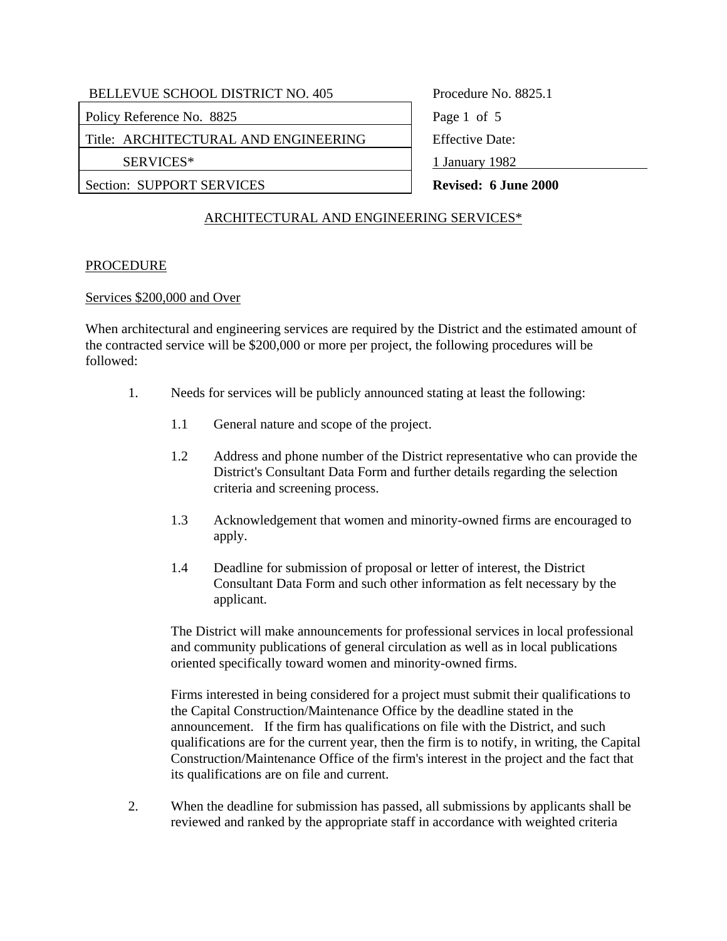Policy Reference No. 8825 Page 1 of 5

Title: ARCHITECTURAL AND ENGINEERING Feffective Date:

Section: SUPPORT SERVICES **Revised: 6 June 2000** 

SERVICES\* 1 January 1982

# ARCHITECTURAL AND ENGINEERING SERVICES\*

### **PROCEDURE**

#### Services \$200,000 and Over

When architectural and engineering services are required by the District and the estimated amount of the contracted service will be \$200,000 or more per project, the following procedures will be followed:

- 1. Needs for services will be publicly announced stating at least the following:
	- 1.1 General nature and scope of the project.
	- 1.2 Address and phone number of the District representative who can provide the District's Consultant Data Form and further details regarding the selection criteria and screening process.
	- 1.3 Acknowledgement that women and minority-owned firms are encouraged to apply.
	- 1.4 Deadline for submission of proposal or letter of interest, the District Consultant Data Form and such other information as felt necessary by the applicant.

The District will make announcements for professional services in local professional and community publications of general circulation as well as in local publications oriented specifically toward women and minority-owned firms.

Firms interested in being considered for a project must submit their qualifications to the Capital Construction/Maintenance Office by the deadline stated in the announcement. If the firm has qualifications on file with the District, and such qualifications are for the current year, then the firm is to notify, in writing, the Capital Construction/Maintenance Office of the firm's interest in the project and the fact that its qualifications are on file and current.

2. When the deadline for submission has passed, all submissions by applicants shall be reviewed and ranked by the appropriate staff in accordance with weighted criteria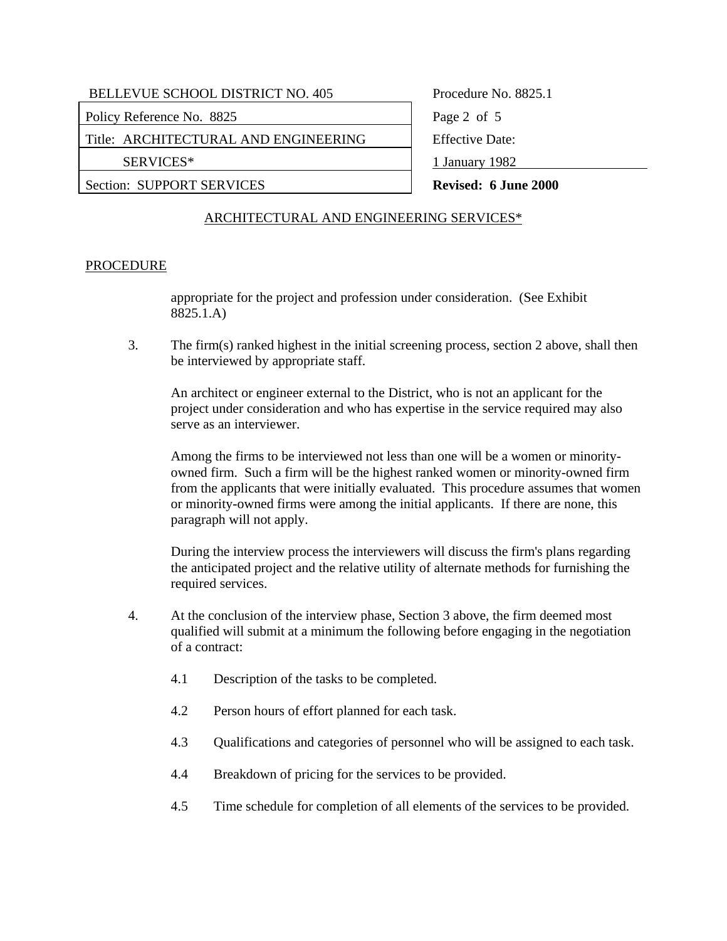Policy Reference No. 8825 Page 2 of 5

Title: ARCHITECTURAL AND ENGINEERING Feffective Date:

Section: SUPPORT SERVICES **Revised: 6 June 2000** 

SERVICES\* 1 January 1982

# ARCHITECTURAL AND ENGINEERING SERVICES\*

### **PROCEDURE**

appropriate for the project and profession under consideration. (See Exhibit 8825.1.A)

3. The firm(s) ranked highest in the initial screening process, section 2 above, shall then be interviewed by appropriate staff.

An architect or engineer external to the District, who is not an applicant for the project under consideration and who has expertise in the service required may also serve as an interviewer.

Among the firms to be interviewed not less than one will be a women or minorityowned firm. Such a firm will be the highest ranked women or minority-owned firm from the applicants that were initially evaluated. This procedure assumes that women or minority-owned firms were among the initial applicants. If there are none, this paragraph will not apply.

During the interview process the interviewers will discuss the firm's plans regarding the anticipated project and the relative utility of alternate methods for furnishing the required services.

- 4. At the conclusion of the interview phase, Section 3 above, the firm deemed most qualified will submit at a minimum the following before engaging in the negotiation of a contract:
	- 4.1 Description of the tasks to be completed.
	- 4.2 Person hours of effort planned for each task.
	- 4.3 Qualifications and categories of personnel who will be assigned to each task.
	- 4.4 Breakdown of pricing for the services to be provided.
	- 4.5 Time schedule for completion of all elements of the services to be provided.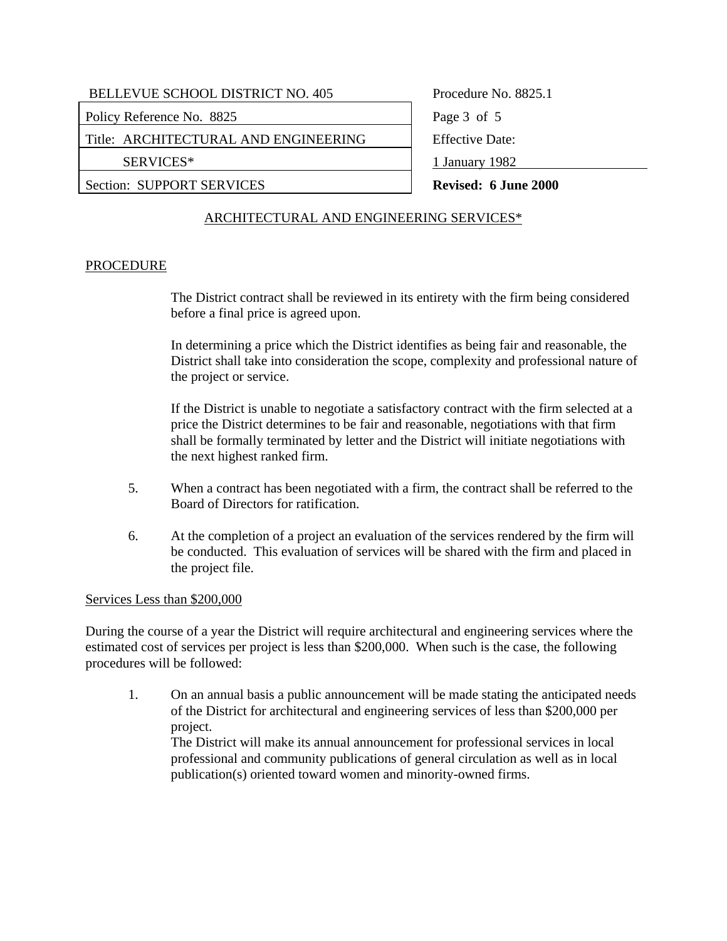Policy Reference No. 8825 Page 3 of 5

Title: ARCHITECTURAL AND ENGINEERING Feffective Date:

### Section: SUPPORT SERVICES **Revised: 6 June 2000**

SERVICES\* 1 January 1982

# ARCHITECTURAL AND ENGINEERING SERVICES\*

# **PROCEDURE**

The District contract shall be reviewed in its entirety with the firm being considered before a final price is agreed upon.

In determining a price which the District identifies as being fair and reasonable, the District shall take into consideration the scope, complexity and professional nature of the project or service.

If the District is unable to negotiate a satisfactory contract with the firm selected at a price the District determines to be fair and reasonable, negotiations with that firm shall be formally terminated by letter and the District will initiate negotiations with the next highest ranked firm.

- 5. When a contract has been negotiated with a firm, the contract shall be referred to the Board of Directors for ratification.
- 6. At the completion of a project an evaluation of the services rendered by the firm will be conducted. This evaluation of services will be shared with the firm and placed in the project file.

#### Services Less than \$200,000

During the course of a year the District will require architectural and engineering services where the estimated cost of services per project is less than \$200,000. When such is the case, the following procedures will be followed:

1. On an annual basis a public announcement will be made stating the anticipated needs of the District for architectural and engineering services of less than \$200,000 per project.

 The District will make its annual announcement for professional services in local professional and community publications of general circulation as well as in local publication(s) oriented toward women and minority-owned firms.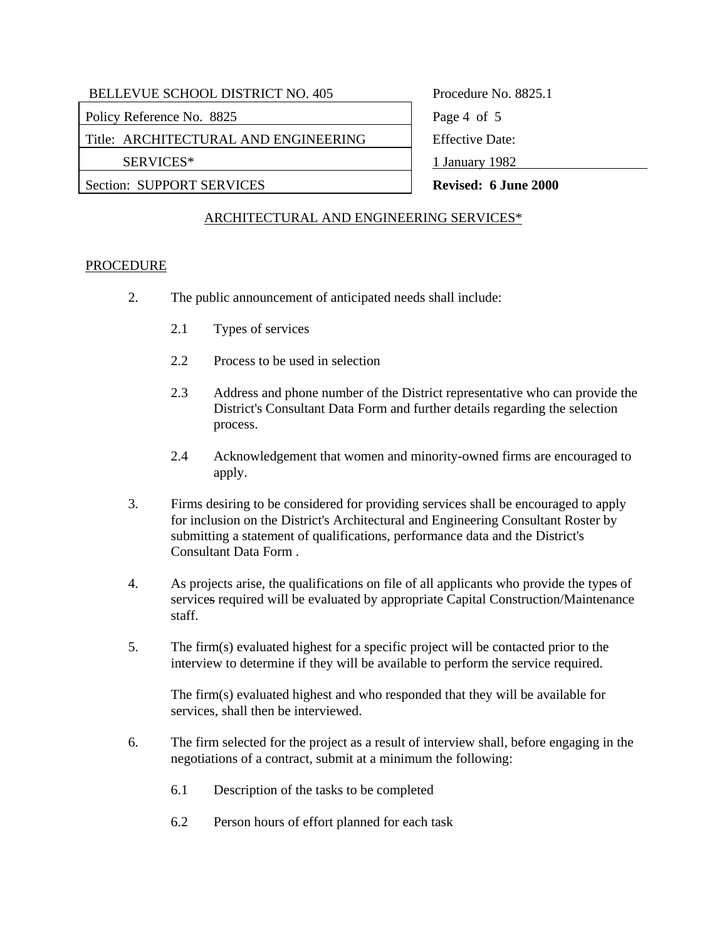Policy Reference No. 8825 Page 4 of 5

Title: ARCHITECTURAL AND ENGINEERING Feffective Date:

SERVICES\* 1 January 1982

Section: SUPPORT SERVICES **Revised: 6 June 2000** 

# ARCHITECTURAL AND ENGINEERING SERVICES\*

### **PROCEDURE**

- 2. The public announcement of anticipated needs shall include:
	- 2.1 Types of services
	- 2.2 Process to be used in selection
	- 2.3 Address and phone number of the District representative who can provide the District's Consultant Data Form and further details regarding the selection process.
	- 2.4 Acknowledgement that women and minority-owned firms are encouraged to apply.
- 3. Firms desiring to be considered for providing services shall be encouraged to apply for inclusion on the District's Architectural and Engineering Consultant Roster by submitting a statement of qualifications, performance data and the District's Consultant Data Form .
- 4. As projects arise, the qualifications on file of all applicants who provide the types of services required will be evaluated by appropriate Capital Construction/Maintenance staff.
- 5. The firm(s) evaluated highest for a specific project will be contacted prior to the interview to determine if they will be available to perform the service required.

The firm(s) evaluated highest and who responded that they will be available for services, shall then be interviewed.

- 6. The firm selected for the project as a result of interview shall, before engaging in the negotiations of a contract, submit at a minimum the following:
	- 6.1 Description of the tasks to be completed
	- 6.2 Person hours of effort planned for each task